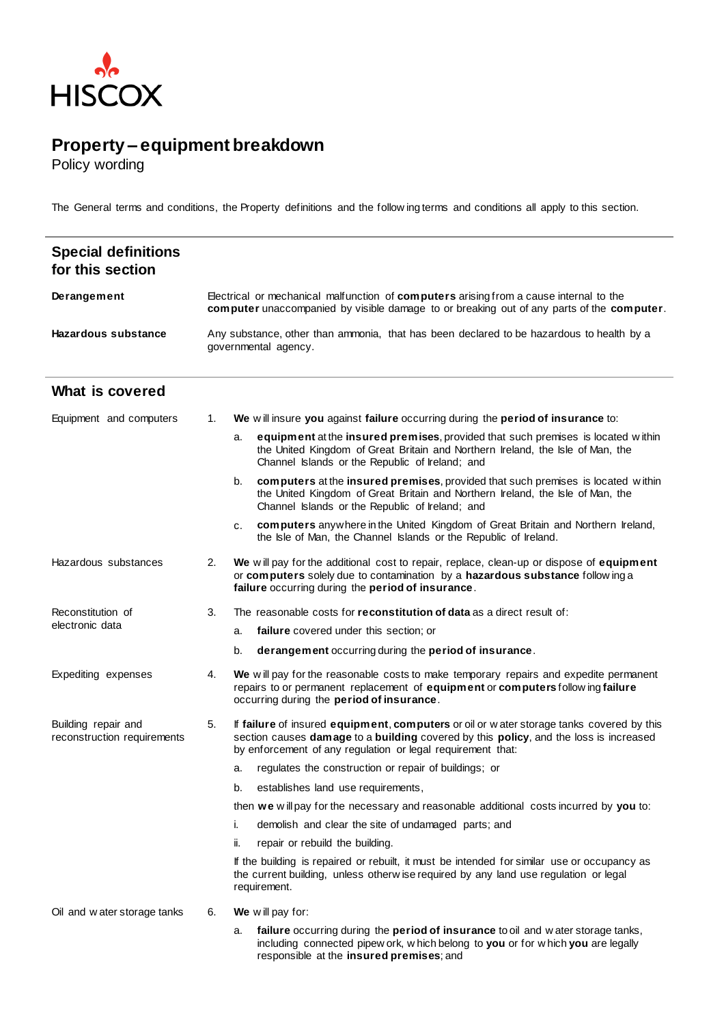

## **Property – equipment breakdown**

Policy wording

Reconstitution of electronic data

The General terms and conditions, the Property definitions and the follow ing terms and conditions all apply to this section.

| <b>Special definitions</b><br>for this section |                                                                                                                                                                                            |    |                                                                                                                                                                                                                       |
|------------------------------------------------|--------------------------------------------------------------------------------------------------------------------------------------------------------------------------------------------|----|-----------------------------------------------------------------------------------------------------------------------------------------------------------------------------------------------------------------------|
| Derangement                                    | Electrical or mechanical malfunction of <b>computers</b> arising from a cause internal to the<br>computer unaccompanied by visible damage to or breaking out of any parts of the computer. |    |                                                                                                                                                                                                                       |
| <b>Hazardous substance</b>                     | Any substance, other than ammonia, that has been declared to be hazardous to health by a<br>governmental agency.                                                                           |    |                                                                                                                                                                                                                       |
| What is covered                                |                                                                                                                                                                                            |    |                                                                                                                                                                                                                       |
| Equipment and computers                        | 1.                                                                                                                                                                                         |    | We will insure you against failure occurring during the period of insurance to:                                                                                                                                       |
|                                                |                                                                                                                                                                                            | a. | equipment at the insured premises, provided that such premises is located within<br>the United Kingdom of Great Britain and Northern Ireland, the Isle of Man, the<br>Channel Islands or the Republic of Ireland; and |
|                                                |                                                                                                                                                                                            | b. | computers at the insured premises, provided that such premises is located within<br>the United Kingdom of Great Britain and Northern Ireland, the Isle of Man, the<br>Channel Islands or the Republic of Ireland; and |

- c. **computers** anywhere in the United Kingdom of Great Britain and Northern Ireland, the Isle of Man, the Channel Islands or the Republic of Ireland.
- Hazardous substances 2. **We** w ill pay for the additional cost to repair, replace, clean-up or dispose of **equipment** or **computers** solely due to contamination by a **hazardous substance** follow ing a **failure** occurring during the **period of insurance**.
	- 3. The reasonable costs for **reconstitution of data** as a direct result of:
		- a. **failure** covered under this section; or
		- b. **derangement** occurring during the **period of insurance**.
- Expediting expenses 4. **We** w ill pay for the reasonable costs to make temporary repairs and expedite permanent repairs to or permanent replacement of **equipment** or **computers** follow ing **failure** occurring during the **period of insurance**.
- Building repair and reconstruction requirements 5. If **failure** of insured **equipment**, **computers** or oil or w ater storage tanks covered by this section causes **damage** to a **building** covered by this **policy**, and the loss is increased by enforcement of any regulation or legal requirement that:
	- a. regulates the construction or repair of buildings; or
	- b. establishes land use requirements,
	- then **we** w ill pay for the necessary and reasonable additional costs incurred by **you** to:
	- i. demolish and clear the site of undamaged parts; and
	- ii. repair or rebuild the building.

If the building is repaired or rebuilt, it must be intended for similar use or occupancy as the current building, unless otherw ise required by any land use regulation or legal requirement.

- Oil and w ater storage tanks 6. **We** w ill pay for:
	- a. **failure** occurring during the **period of insurance** to oil and w ater storage tanks, including connected pipew ork, w hich belong to **you** or for w hich **you** are legally responsible at the **insured premises**; and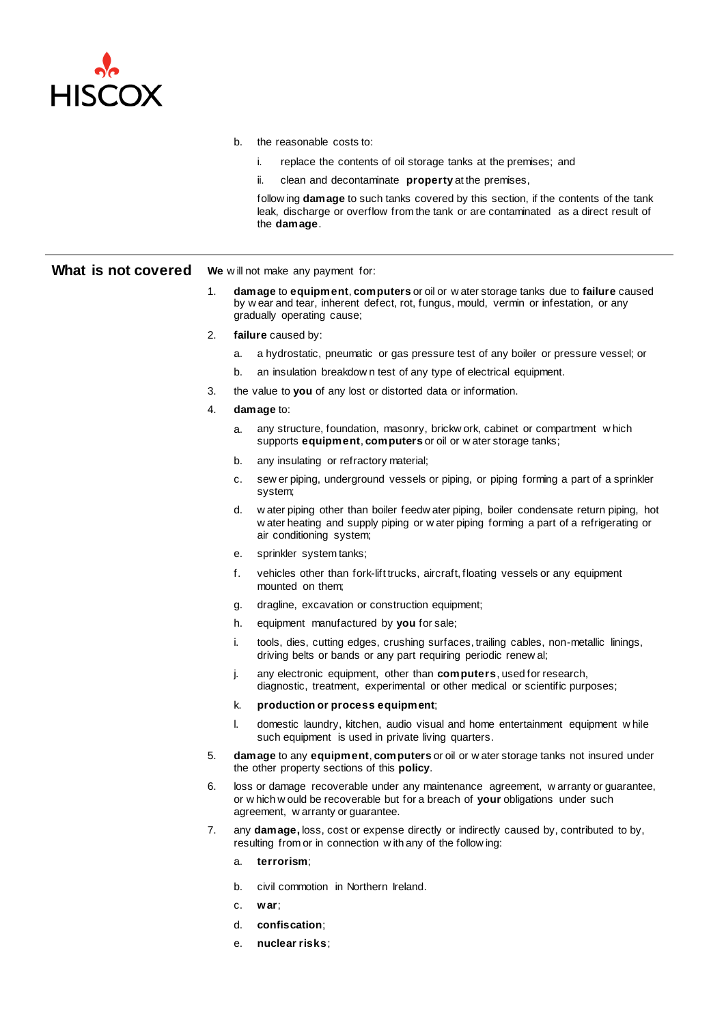

- b. the reasonable costs to:
	- i. replace the contents of oil storage tanks at the premises; and
	- ii. clean and decontaminate **property** at the premises,

follow ing **damage** to such tanks covered by this section, if the contents of the tank leak, discharge or overflow from the tank or are contaminated as a direct result of the **damage**.

## **What is not covered** We will not make any payment for:

- 1. **damage** to **equipment**, **computers** or oil or w ater storage tanks due to **failure** caused by w ear and tear, inherent defect, rot, fungus, mould, vermin or infestation, or any gradually operating cause;
- 2. **failure** caused by:
	- a. a hydrostatic, pneumatic or gas pressure test of any boiler or pressure vessel; or
	- b. an insulation breakdow n test of any type of electrical equipment.
- 3. the value to **you** of any lost or distorted data or information.
- 4. **damage** to:
	- a. any structure, foundation, masonry, brickw ork, cabinet or compartment w hich supports **equipment**, **computers** or oil or w ater storage tanks;
	- b. any insulating or refractory material;
	- c. sew er piping, underground vessels or piping, or piping forming a part of a sprinkler system;
	- d. w ater piping other than boiler feedw ater piping, boiler condensate return piping, hot w ater heating and supply piping or w ater piping forming a part of a refrigerating or air conditioning system;
	- e. sprinkler system tanks;
	- f. vehicles other than fork-lift trucks, aircraft, floating vessels or any equipment mounted on them;
	- g. dragline, excavation or construction equipment;
	- h. equipment manufactured by **you** for sale;
	- i. tools, dies, cutting edges, crushing surfaces, trailing cables, non-metallic linings, driving belts or bands or any part requiring periodic renew al;
	- j. any electronic equipment, other than **computers**, used for research, diagnostic, treatment, experimental or other medical or scientific purposes;
	- k. **production or process equipment**;
	- l. domestic laundry, kitchen, audio visual and home entertainment equipment w hile such equipment is used in private living quarters.
- 5. **damage** to any **equipment**, **computers** or oil or w ater storage tanks not insured under the other property sections of this **policy**.
- 6. loss or damage recoverable under any maintenance agreement, w arranty or guarantee, or w hich w ould be recoverable but for a breach of **your** obligations under such agreement, w arranty or guarantee.
- 7. any **damage,** loss, cost or expense directly or indirectly caused by, contributed to by, resulting from or in connection w ith any of the follow ing:
	- a. **terrorism**;
	- b. civil commotion in Northern Ireland.
	- c. **war**;
	- d. **confiscation**;
	- e. **nuclear risks**;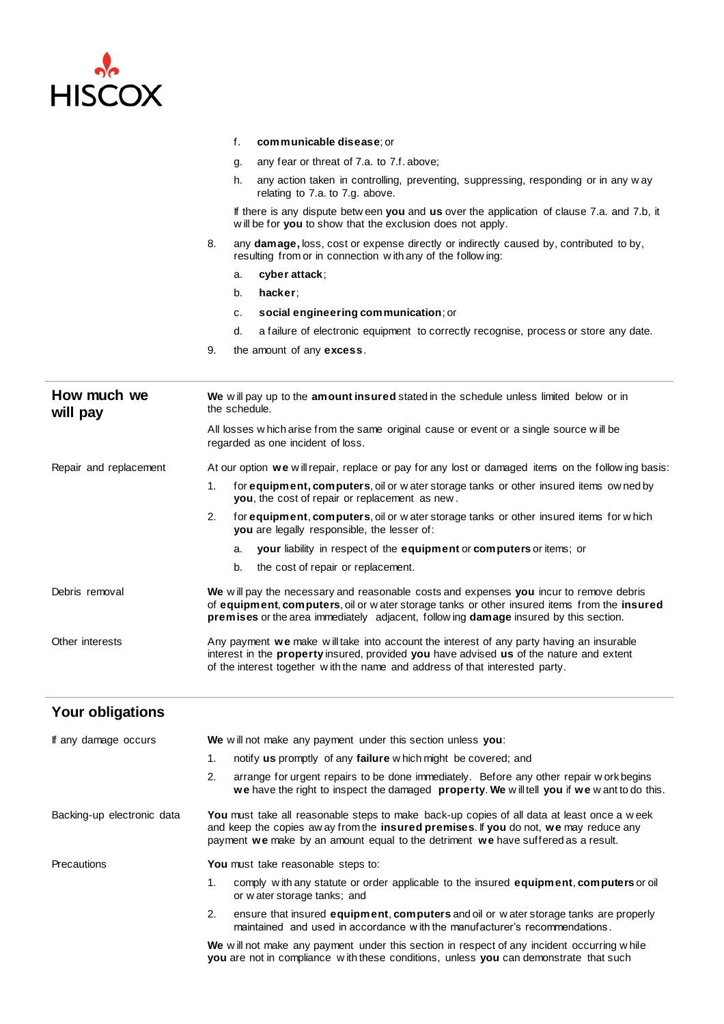

|                         | f.<br>communicable disease; or                                                                                                                                                                                                                                                |  |  |
|-------------------------|-------------------------------------------------------------------------------------------------------------------------------------------------------------------------------------------------------------------------------------------------------------------------------|--|--|
|                         | any fear or threat of 7.a. to 7.f. above;<br>g.                                                                                                                                                                                                                               |  |  |
|                         | h.<br>any action taken in controlling, preventing, suppressing, responding or in any way<br>relating to 7.a. to 7.g. above.                                                                                                                                                   |  |  |
|                         | If there is any dispute between you and us over the application of clause 7.a. and 7.b, it<br>will be for you to show that the exclusion does not apply.                                                                                                                      |  |  |
|                         | 8.<br>any <b>damage</b> , loss, cost or expense directly or indirectly caused by, contributed to by,<br>resulting from or in connection with any of the following:                                                                                                            |  |  |
|                         | cyber attack;<br>a.                                                                                                                                                                                                                                                           |  |  |
|                         | hacker:<br>b.                                                                                                                                                                                                                                                                 |  |  |
|                         | social engineering communication; or<br>с.                                                                                                                                                                                                                                    |  |  |
|                         | d.<br>a failure of electronic equipment to correctly recognise, process or store any date.                                                                                                                                                                                    |  |  |
|                         | 9.<br>the amount of any excess.                                                                                                                                                                                                                                               |  |  |
|                         |                                                                                                                                                                                                                                                                               |  |  |
| How much we<br>will pay | We will pay up to the amount insured stated in the schedule unless limited below or in<br>the schedule.                                                                                                                                                                       |  |  |
|                         | All losses which arise from the same original cause or event or a single source will be<br>regarded as one incident of loss.                                                                                                                                                  |  |  |
| Repair and replacement  | At our option we will repair, replace or pay for any lost or damaged items on the following basis:                                                                                                                                                                            |  |  |
|                         | 1.<br>for <b>equipment, computers</b> , oil or water storage tanks or other insured items owned by<br>you, the cost of repair or replacement as new.                                                                                                                          |  |  |
|                         | 2.<br>for equipment, computers, oil or water storage tanks or other insured items for which<br>you are legally responsible, the lesser of:                                                                                                                                    |  |  |
|                         | your liability in respect of the equipment or computers or items; or<br>a.                                                                                                                                                                                                    |  |  |
|                         | b.<br>the cost of repair or replacement.                                                                                                                                                                                                                                      |  |  |
| Debris removal          | We will pay the necessary and reasonable costs and expenses you incur to remove debris<br>of equipment, computers, oil or water storage tanks or other insured items from the insured<br>premises or the area immediately adjacent, following damage insured by this section. |  |  |
| Other interests         | Any payment we make will take into account the interest of any party having an insurable<br>interest in the property insured, provided you have advised us of the nature and extent<br>of the interest together with the name and address of that interested party.           |  |  |
| Your obligations        |                                                                                                                                                                                                                                                                               |  |  |
| If any damage occurs    | We will not make any payment under this section unless you:                                                                                                                                                                                                                   |  |  |
|                         | notify us promptly of any failure which might be covered; and<br>1.                                                                                                                                                                                                           |  |  |
|                         | 2.<br>arrange for urgent repairs to be done immediately. Before any other repair workbegins<br>we have the right to inspect the damaged property. We will tell you if we want to do this.                                                                                     |  |  |

Backing-up electronic data **You** must take all reasonable steps to make back-up copies of all data at least once a w eek and keep the copies aw ay from the **insured premises**. If **you** do not, **we** may reduce any payment **we** make by an amount equal to the detriment **we** have suffered as a result.

Precautions **You** must take reasonable steps to:

- 1. comply w ith any statute or order applicable to the insured **equipment**, **computers** or oil or w ater storage tanks; and
- 2. ensure that insured **equipment**, **computers** and oil or w ater storage tanks are properly maintained and used in accordance w ith the manufacturer's recommendations .

We will not make any payment under this section in respect of any incident occurring while **you** are not in compliance w ith these conditions, unless **you** can demonstrate that such